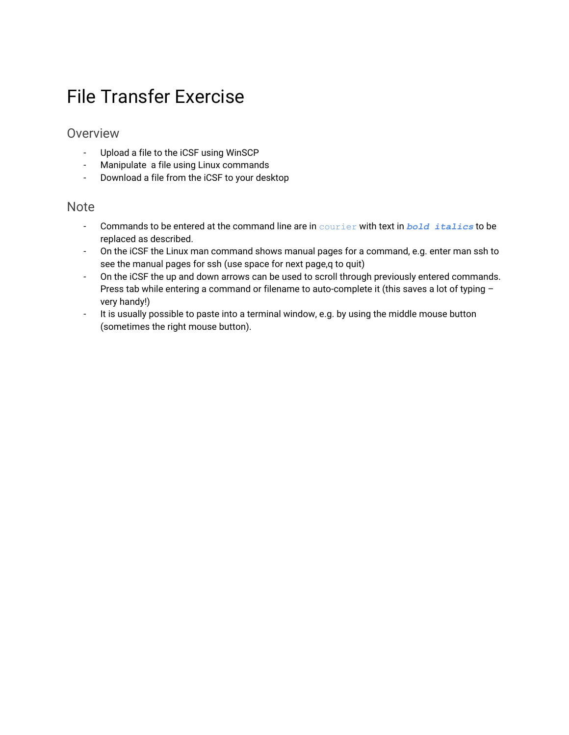# File Transfer Exercise

### Overview

- Upload a file to the iCSF using WinSCP
- Manipulate a file using Linux commands
- Download a file from the iCSF to your desktop

#### **Note**

- Commands to be entered at the command line are in courier with text in *bold italics* to be replaced as described.
- On the iCSF the Linux man command shows manual pages for a command, e.g. enter man ssh to see the manual pages for ssh (use space for next page,q to quit)
- On the iCSF the up and down arrows can be used to scroll through previously entered commands. Press tab while entering a command or filename to auto-complete it (this saves a lot of typing very handy!)
- It is usually possible to paste into a terminal window, e.g. by using the middle mouse button (sometimes the right mouse button).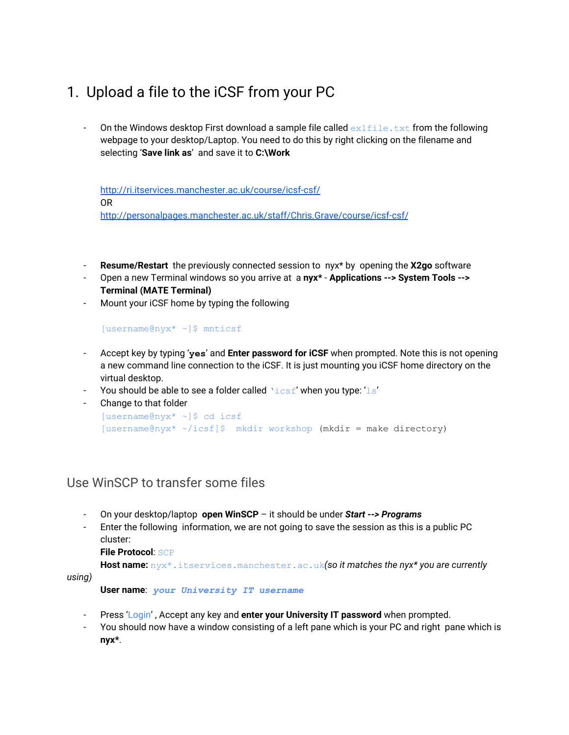## 1. Upload a file to the iCSF from your PC

On the Windows desktop First download a sample file called  $ext{exit}$  from the following webpage to your desktop/Laptop. You need to do this by right clicking on the filename and selecting '**Save link as**' and save it to **C:\Work**

<http://ri.itservices.manchester.ac.uk/course/icsf-csf/> OR [http://personalpages.manchester.ac.uk/staff/Chris.Grave/course/icsf-csf/](http://personalpages.manchester.ac.uk/staff/Chris.Grave/course/icsf-csf)

- **Resume/Restart** the previously connected session to nyx\* by opening the **X2go** software
- Open a new Terminal windows so you arrive at a **nyx\* Applications -‐> System Tools -‐> Terminal (MATE Terminal)**
- Mount your iCSF home by typing the following

[username@nyx\* ~]\$ mnticsf

- Accept key by typing '**yes**' and **Enter password for iCSF** when prompted. Note this is not opening a new command line connection to the iCSF. It is just mounting you iCSF home directory on the virtual desktop.
- You should be able to see a folder called  $\text{%}$  \then you type: 'ls'

```
- Change to that folder
[username@nyx* ~]$ cd icsf
[username@nyx* ~/icsf]$ mkdir workshop (mkdir = make directory)
```
### Use WinSCP to transfer some files

- On your desktop/laptop **open WinSCP** it should be under *Start -‐> Programs*
- Enter the following information, we are not going to save the session as this is a public PC cluster:

**File Protocol**: SCP

**Host name:** nyx\*.itservices.manchester.ac.uk*(so it matches the nyx\* you are currently*

*using)*

**User name**: *your University IT username*

- Press 'Login' , Accept any key and **enter your University IT password** when prompted.
- You should now have a window consisting of a left pane which is your PC and right pane which is **nyx\***.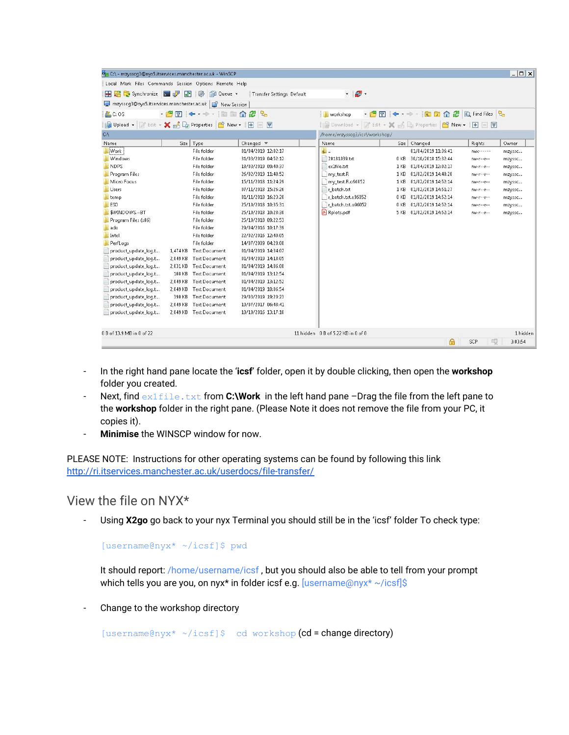| On C:\ - mzysscq3@nyx5.itservices.manchester.ac.uk - WinSCP |                   |                        |                              |                                                           |                                    |                 |                     |                      | $  $ $\Box$ $x$ $ $ |
|-------------------------------------------------------------|-------------------|------------------------|------------------------------|-----------------------------------------------------------|------------------------------------|-----------------|---------------------|----------------------|---------------------|
| Local Mark Files Commands Session Options Remote Help       |                   |                        |                              |                                                           |                                    |                 |                     |                      |                     |
| 田 B C Synchronize 国内 国                                      |                   | <b>OD</b> Queue        | Transfer Settings Default    |                                                           | $\cdot$ $\bullet$ $\cdot$          |                 |                     |                      |                     |
| mzysscg3@nyx5.itservices.manchester.ac.uk   New Session     |                   |                        |                              |                                                           |                                    |                 |                     |                      |                     |
| C: OS                                                       | • 名団 ← → → 国国介绍 ? |                        | workshop                     |                                                           | ・ 白田 ← → → - 白田山 2 B Find Files Pa |                 |                     |                      |                     |
|                                                             |                   |                        |                              |                                                           |                                    |                 |                     |                      |                     |
| Gilpload - Felit - X & Ca Properties   New -   +   -   V    |                   |                        |                              | 2 Download - 2 Edit - X 2 Dg Properties   8 New -   8 □ D |                                    |                 |                     |                      |                     |
| CA                                                          |                   |                        |                              |                                                           | /home/mzysscq3/icsf/workshop/      |                 |                     |                      |                     |
| Name                                                        | Size              | Type                   | Changed $\blacktriangledown$ |                                                           | Name                               | Size            | Changed             | Rights               | Owner               |
| Work                                                        |                   | File folder            | 01/04/2019 12:02:17          |                                                           | $\mathbf{L}$                       |                 | 01/04/2019 11:36:41 | $N(X^{2} - 1)$       | mzyssc              |
| Windows                                                     |                   | File folder            | 31/03/2019 04:52:12          |                                                           | 20181039.bt                        | 0 KB            | 30/10/2018 15:32:44 | $NN-1-1$             | mzysse              |
| <b>NDPS</b>                                                 |                   | File folder            | 18/03/2019 09:40:37          |                                                           | ex1file.bt                         | 1 <sub>KB</sub> | 01/04/2019 12:02:17 | $NM - 1 - 1 - 1 - 1$ | mzysse              |
| <b>Program Files</b>                                        |                   | File folder            | 26/02/2019 11:48:52          |                                                           | my_test.R                          | 1 KB            | 01/02/2019 14:48:28 | $nw-r-r-1$           | mzyssc              |
| <b>Micro Focus</b>                                          |                   | File folder            | 15/11/2018 11:24:29          |                                                           | my test.R.o96052                   | 1 KB            | 01/02/2019 14:52:14 | $nnr-r-r-$           | mzyssc              |
| Lisers                                                      |                   | File folder            | 07/11/2018 15:26:26          |                                                           | r batch.bt                         | 1 KB            | 01/02/2019 14:51:27 | $rw-r-r-r-$          | mzyssc              |
| temp                                                        |                   | File folder            | 01/11/2018 16:23:20          |                                                           | r batch.bt.e96052                  | 0 KB            | 01/02/2019 14:52:14 | $NN - 1 - 1 - 1$     | mzyssc              |
| ESD                                                         |                   | File folder            | 25/10/2018 10:35:31          |                                                           | r batch.txt.o96052                 | 0 KB            | 01/02/2019 14:52:14 | $100 - 19 - 19 - 19$ | mzysse              |
| \$WINDOWS.~BT                                               |                   | File folder            | 25/10/2018 10:28:30          |                                                           | & Rplots.pdf                       | 5 KB            | 01/02/2019 14:52:14 | $NN - 1 - 1 - 1$     | mzyssc              |
| Program Files (x86)                                         |                   | File folder            | 25/10/2018 09:22:53          |                                                           |                                    |                 |                     |                      |                     |
| ado                                                         |                   | File folder            | 29/04/2016 10:17:39          |                                                           |                                    |                 |                     |                      |                     |
| Intel                                                       |                   | File folder            | 22/02/2016 12:40:05          |                                                           |                                    |                 |                     |                      |                     |
| PerfLogs                                                    |                   | File folder            | 14/07/2009 04:20:08          |                                                           |                                    |                 |                     |                      |                     |
| product_update_log.t                                        | 1.474 KB          | <b>Text Document</b>   | 01/04/2019 14:34:07          |                                                           |                                    |                 |                     |                      |                     |
| product_update_loq.t                                        | 2,049 KB          | <b>Text Document</b>   | 01/04/2019 14:18:05          |                                                           |                                    |                 |                     |                      |                     |
| product_update_loq.t                                        | 2.031 KB          | <b>Text Document</b>   | 01/04/2019 14:06:08          |                                                           |                                    |                 |                     |                      |                     |
| product_update_loq.t                                        | 108 KB            | <b>Text Document</b>   | 01/04/2019 13:12:54          |                                                           |                                    |                 |                     |                      |                     |
| product update log.t                                        | 2.049 KB          | <b>Text Document</b>   | 01/04/2019 13:12:52          |                                                           |                                    |                 |                     |                      |                     |
| product_update_loq.t                                        |                   | 2.049 KB Text Document | 01/04/2019 10:06:54          |                                                           |                                    |                 |                     |                      |                     |
| product_update_loq.t                                        | 390 KB            | <b>Text Document</b>   | 29/03/2019 19:20:23          |                                                           |                                    |                 |                     |                      |                     |
| product update log.t                                        | 2,049 KB          | <b>Text Document</b>   | 10/07/2017 06:48:41          |                                                           |                                    |                 |                     |                      |                     |
| product_update_loq.t                                        |                   | 2,049 KB Text Document | 10/10/2016 13:17:10          |                                                           |                                    |                 |                     |                      |                     |
| 0 B of 13.9 MB in 0 of 22                                   |                   |                        |                              |                                                           | 11 hidden 0 B of 5.22 KB in 0 of 8 |                 |                     |                      | 1 hidden            |
|                                                             |                   |                        |                              |                                                           |                                    |                 | A                   | 印<br>SCP             | 3:03:54             |

- In the right hand pane locate the '**icsf**' folder, open it by double clicking, then open the **workshop** folder you created.
- Next, find ex1file.txt from **C:\Work** in the left hand pane -Drag the file from the left pane to the **workshop** folder in the right pane. (Please Note it does not remove the file from your PC, it copies it).
- **Minimise** the WINSCP window for now.

PLEASE NOTE: Instructions for other operating systems can be found by following this link <http://ri.itservices.manchester.ac.uk/userdocs/file-transfer/>

View the file on NYX\*

Using X2go go back to your nyx Terminal you should still be in the 'icsf' folder To check type:

[username@nyx\* ~/icsf]\$ pwd

It should report: /home/username/icsf , but you should also be able to tell from your prompt which tells you are you, on nyx<sup>\*</sup> in folder icsf e.g. [username@nyx<sup>\*</sup> ~/icsf]\$

Change to the workshop directory

[username@nyx\* ~/icsf]\$ cd workshop (cd = change directory)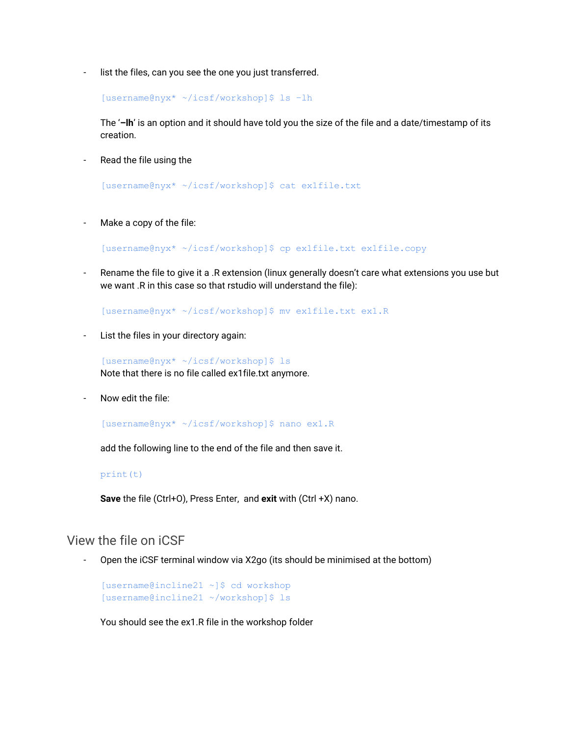list the files, can you see the one you just transferred.

[username@nyx\* ~/icsf/workshop]\$ ls –lh

The '**–lh**' is an option and it should have told you the size of the file and a date/timestamp of its creation.

Read the file using the

[username@nyx\* ~/icsf/workshop]\$ cat ex1file.txt

Make a copy of the file:

[username@nyx\* ~/icsf/workshop]\$ cp ex1file.txt ex1file.copy

Rename the file to give it a .R extension (linux generally doesn't care what extensions you use but we want .R in this case so that rstudio will understand the file):

[username@nyx\* ~/icsf/workshop]\$ mv ex1file.txt ex1.R

List the files in your directory again:

[username@nyx\* ~/icsf/workshop]\$ ls Note that there is no file called ex1file.txt anymore.

Now edit the file:

[username@nyx\* ~/icsf/workshop]\$ nano ex1.R

add the following line to the end of the file and then save it.

#### print(t)

**Save** the file (Ctrl+O), Press Enter, and **exit** with (Ctrl +X) nano.

#### View the file on iCSF

Open the iCSF terminal window via X2go (its should be minimised at the bottom)

[username@incline21 ~]\$ cd workshop [username@incline21 ~/workshop]\$ ls

You should see the ex1.R file in the workshop folder